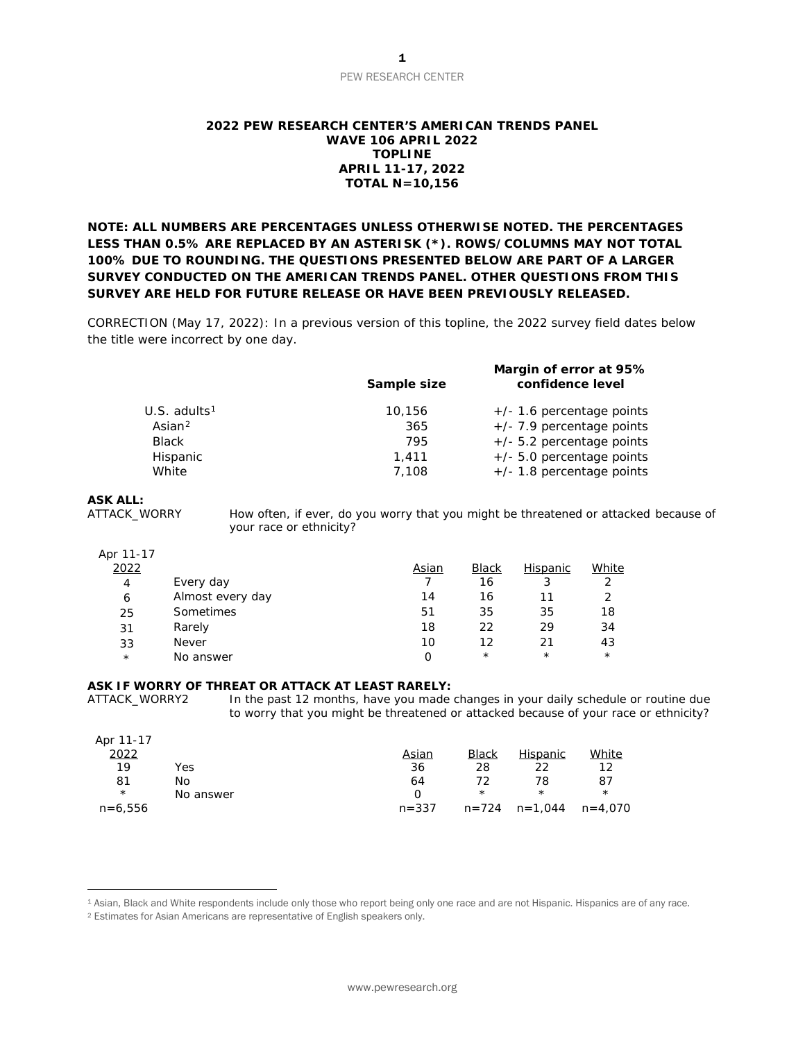# PEW RESEARCH CENTER

# **2022 PEW RESEARCH CENTER'S AMERICAN TRENDS PANEL WAVE 106 APRIL 2022 TOPLINE APRIL 11-17, 2022 TOTAL N=10,156**

**NOTE: ALL NUMBERS ARE PERCENTAGES UNLESS OTHERWISE NOTED. THE PERCENTAGES LESS THAN 0.5% ARE REPLACED BY AN ASTERISK (\*). ROWS/COLUMNS MAY NOT TOTAL 100% DUE TO ROUNDING. THE QUESTIONS PRESENTED BELOW ARE PART OF A LARGER SURVEY CONDUCTED ON THE AMERICAN TRENDS PANEL. OTHER QUESTIONS FROM THIS SURVEY ARE HELD FOR FUTURE RELEASE OR HAVE BEEN PREVIOUSLY RELEASED.**

*CORRECTION (May 17, 2022): In a previous version of this topline, the 2022 survey field dates below the title were incorrect by one day.*

| Sample size | Margin of error at 95%<br>confidence level |
|-------------|--------------------------------------------|
| 10.156      | $+/-$ 1.6 percentage points                |
| 365         | $+/-$ 7.9 percentage points                |
| 795         | $+/-$ 5.2 percentage points                |
| 1,411       | $+/-$ 5.0 percentage points                |
| 7,108       | $+/- 1.8$ percentage points                |
|             |                                            |

**ASK ALL:**

How often, if ever, do you worry that you might be threatened or attacked because of your race or ethnicity?

### Apr 11-17

| 2022    |                  | Asian | <b>Black</b> | Hispanic | White    |
|---------|------------------|-------|--------------|----------|----------|
| 4       | Every day        |       | 16           |          | っ        |
| 6       | Almost every day | 14    | 16           | 11       | っ        |
| 25      | Sometimes        | 51    | 35           | 35       | 18       |
| 31      | Rarely           | 18    | 22           | 29       | 34       |
| 33      | <b>Never</b>     | 10    | 12           | 21       | 43       |
| $\star$ | No answer        |       | $^\star$     | $^\star$ | $^\star$ |

# **ASK IF WORRY OF THREAT OR ATTACK AT LEAST RARELY:**

ATTACK\_WORRY2 In the past 12 months, have you made changes in your daily schedule or routine due to worry that you might be threatened or attacked because of your race or ethnicity?

| Apr 11-17 |           |           |              |                       |          |
|-----------|-----------|-----------|--------------|-----------------------|----------|
| 2022      |           | Asian     | <b>Black</b> | Hispanic              | White    |
| 19        | Yes       | 36        | 28           | 22                    | 12       |
| 81        | No        | 64        | 72           | 78                    | 87       |
| $^\star$  | No answer | O         | $^\star$     | $\star$               | $^\star$ |
| $n=6,556$ |           | $n = 337$ |              | $n = 724$ $n = 1,044$ | n=4,070  |

<span id="page-0-0"></span><sup>1</sup> Asian, Black and White respondents include only those who report being only one race and are not Hispanic. Hispanics are of any race.

<span id="page-0-1"></span><sup>2</sup> Estimates for Asian Americans are representative of English speakers only.